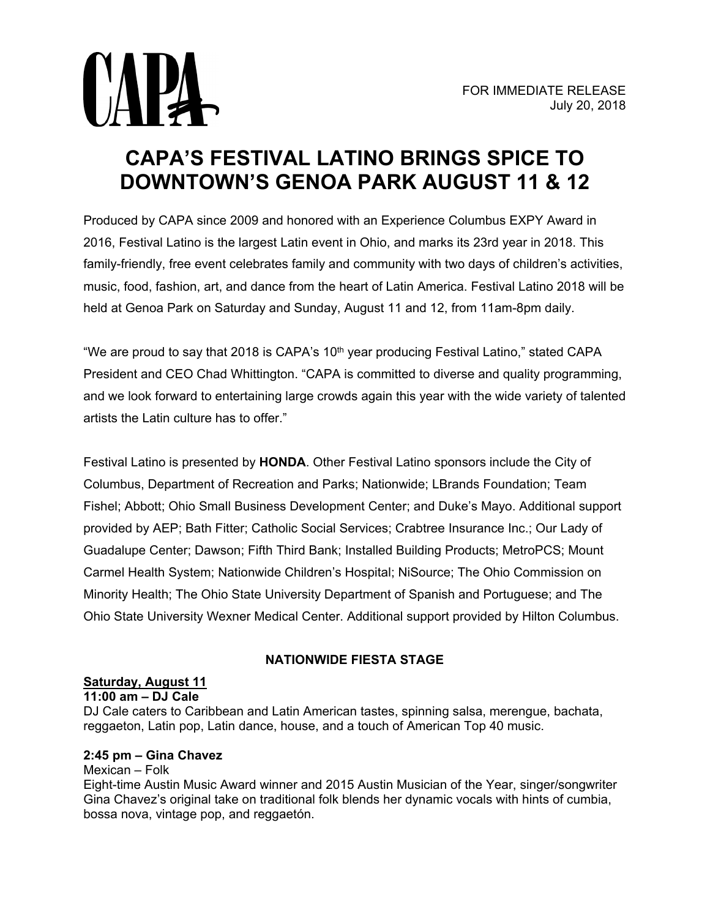

# **CAPA'S FESTIVAL LATINO BRINGS SPICE TO DOWNTOWN'S GENOA PARK AUGUST 11 & 12**

Produced by CAPA since 2009 and honored with an Experience Columbus EXPY Award in 2016, Festival Latino is the largest Latin event in Ohio, and marks its 23rd year in 2018. This family-friendly, free event celebrates family and community with two days of children's activities, music, food, fashion, art, and dance from the heart of Latin America. Festival Latino 2018 will be held at Genoa Park on Saturday and Sunday, August 11 and 12, from 11am-8pm daily.

"We are proud to say that 2018 is CAPA's 10<sup>th</sup> year producing Festival Latino," stated CAPA President and CEO Chad Whittington. "CAPA is committed to diverse and quality programming, and we look forward to entertaining large crowds again this year with the wide variety of talented artists the Latin culture has to offer."

Festival Latino is presented by **HONDA**. Other Festival Latino sponsors include the City of Columbus, Department of Recreation and Parks; Nationwide; LBrands Foundation; Team Fishel; Abbott; Ohio Small Business Development Center; and Duke's Mayo. Additional support provided by AEP; Bath Fitter; Catholic Social Services; Crabtree Insurance Inc.; Our Lady of Guadalupe Center; Dawson; Fifth Third Bank; Installed Building Products; MetroPCS; Mount Carmel Health System; Nationwide Children's Hospital; NiSource; The Ohio Commission on Minority Health; The Ohio State University Department of Spanish and Portuguese; and The Ohio State University Wexner Medical Center. Additional support provided by Hilton Columbus.

# **NATIONWIDE FIESTA STAGE**

## **Saturday, August 11**

### **11:00 am – DJ Cale**

DJ Cale caters to Caribbean and Latin American tastes, spinning salsa, merengue, bachata, reggaeton, Latin pop, Latin dance, house, and a touch of American Top 40 music.

## **2:45 pm – Gina Chavez**

### Mexican – Folk

Eight-time Austin Music Award winner and 2015 Austin Musician of the Year, singer/songwriter Gina Chavez's original take on traditional folk blends her dynamic vocals with hints of cumbia, bossa nova, vintage pop, and reggaetón.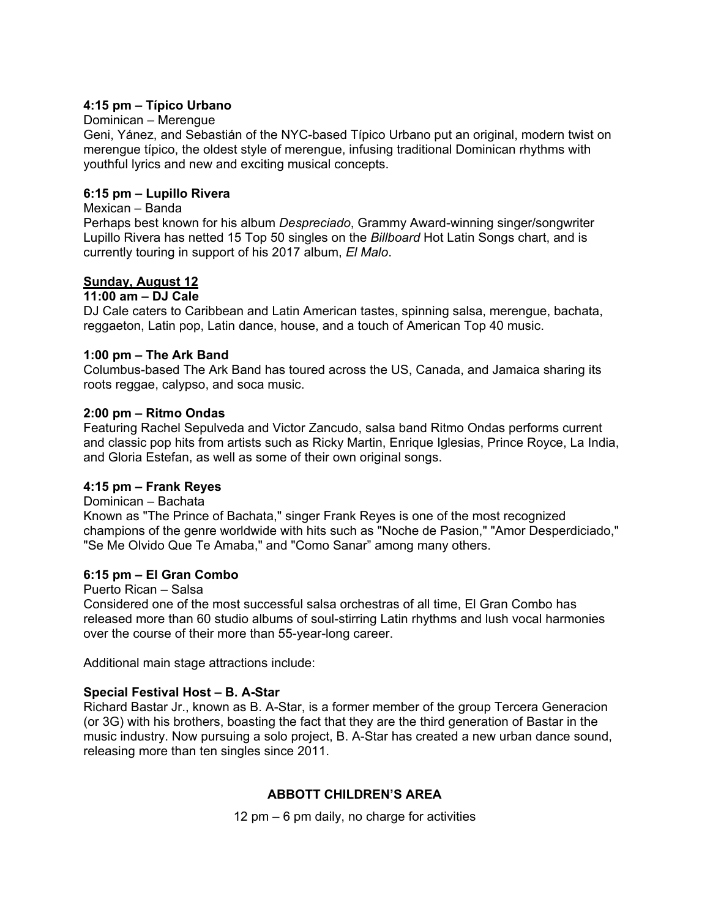### **4:15 pm – Típico Urbano**

### Dominican – Merengue

Geni, Yánez, and Sebastián of the NYC-based Típico Urbano put an original, modern twist on merengue típico, the oldest style of merengue, infusing traditional Dominican rhythms with youthful lyrics and new and exciting musical concepts.

### **6:15 pm – Lupillo Rivera**

### Mexican – Banda

Perhaps best known for his album *Despreciado*, Grammy Award-winning singer/songwriter Lupillo Rivera has netted 15 Top 50 singles on the *Billboard* Hot Latin Songs chart, and is currently touring in support of his 2017 album, *El Malo*.

### **Sunday, August 12**

### **11:00 am – DJ Cale**

DJ Cale caters to Caribbean and Latin American tastes, spinning salsa, merengue, bachata, reggaeton, Latin pop, Latin dance, house, and a touch of American Top 40 music.

### **1:00 pm – The Ark Band**

Columbus-based The Ark Band has toured across the US, Canada, and Jamaica sharing its roots reggae, calypso, and soca music.

### **2:00 pm – Ritmo Ondas**

Featuring Rachel Sepulveda and Victor Zancudo, salsa band Ritmo Ondas performs current and classic pop hits from artists such as Ricky Martin, Enrique Iglesias, Prince Royce, La India, and Gloria Estefan, as well as some of their own original songs.

### **4:15 pm – Frank Reyes**

### Dominican – Bachata

Known as "The Prince of Bachata," singer Frank Reyes is one of the most recognized champions of the genre worldwide with hits such as "Noche de Pasion," "Amor Desperdiciado," "Se Me Olvido Que Te Amaba," and "Como Sanar" among many others.

### **6:15 pm – El Gran Combo**

#### Puerto Rican – Salsa

Considered one of the most successful salsa orchestras of all time, El Gran Combo has released more than 60 studio albums of soul-stirring Latin rhythms and lush vocal harmonies over the course of their more than 55-year-long career.

Additional main stage attractions include:

### **Special Festival Host – B. A-Star**

Richard Bastar Jr., known as B. A-Star, is a former member of the group Tercera Generacion (or 3G) with his brothers, boasting the fact that they are the third generation of Bastar in the music industry. Now pursuing a solo project, B. A-Star has created a new urban dance sound, releasing more than ten singles since 2011.

## **ABBOTT CHILDREN'S AREA**

12 pm – 6 pm daily, no charge for activities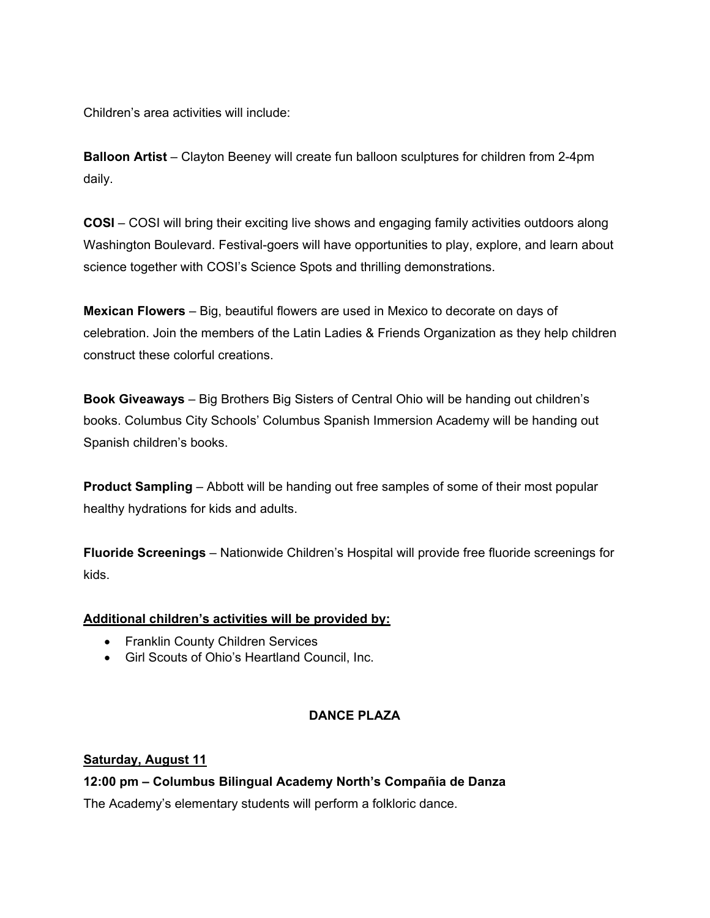Children's area activities will include:

**Balloon Artist** – Clayton Beeney will create fun balloon sculptures for children from 2-4pm daily.

**COSI** – COSI will bring their exciting live shows and engaging family activities outdoors along Washington Boulevard. Festival-goers will have opportunities to play, explore, and learn about science together with COSI's Science Spots and thrilling demonstrations.

**Mexican Flowers** – Big, beautiful flowers are used in Mexico to decorate on days of celebration. Join the members of the Latin Ladies & Friends Organization as they help children construct these colorful creations.

**Book Giveaways** – Big Brothers Big Sisters of Central Ohio will be handing out children's books. Columbus City Schools' Columbus Spanish Immersion Academy will be handing out Spanish children's books.

**Product Sampling** – Abbott will be handing out free samples of some of their most popular healthy hydrations for kids and adults.

**Fluoride Screenings** – Nationwide Children's Hospital will provide free fluoride screenings for kids.

## **Additional children's activities will be provided by:**

- Franklin County Children Services
- Girl Scouts of Ohio's Heartland Council, Inc.

# **DANCE PLAZA**

## **Saturday, August 11**

**12:00 pm – Columbus Bilingual Academy North's Compañia de Danza** 

The Academy's elementary students will perform a folkloric dance.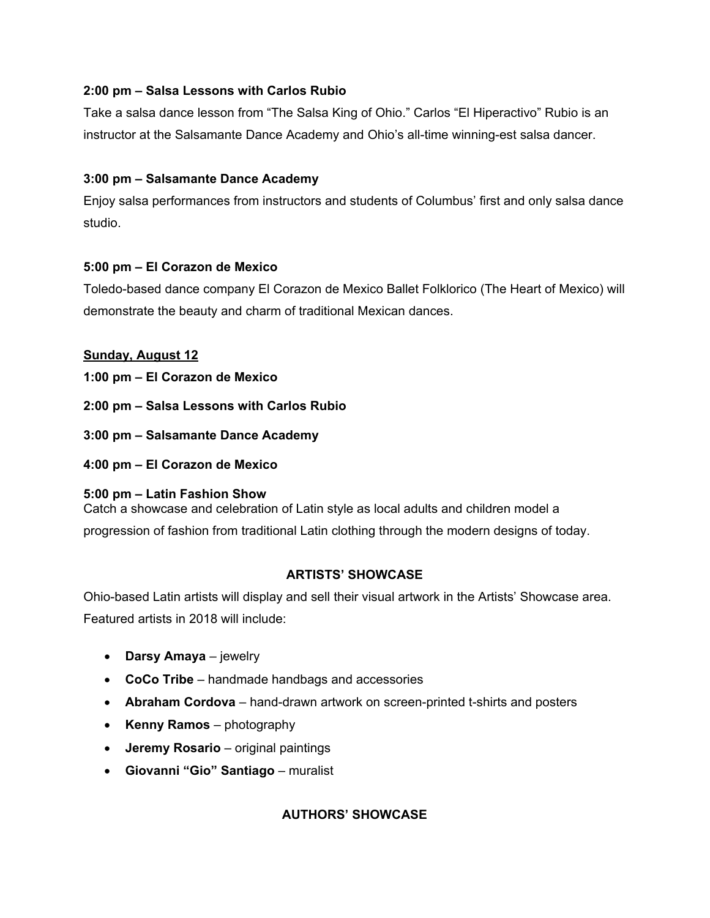# **2:00 pm – Salsa Lessons with Carlos Rubio**

Take a salsa dance lesson from "The Salsa King of Ohio." Carlos "El Hiperactivo" Rubio is an instructor at the Salsamante Dance Academy and Ohio's all-time winning-est salsa dancer.

# **3:00 pm – Salsamante Dance Academy**

Enjoy salsa performances from instructors and students of Columbus' first and only salsa dance studio.

# **5:00 pm – El Corazon de Mexico**

Toledo-based dance company El Corazon de Mexico Ballet Folklorico (The Heart of Mexico) will demonstrate the beauty and charm of traditional Mexican dances.

# **Sunday, August 12**

- **1:00 pm El Corazon de Mexico**
- **2:00 pm Salsa Lessons with Carlos Rubio**
- **3:00 pm Salsamante Dance Academy**
- **4:00 pm El Corazon de Mexico**

## **5:00 pm – Latin Fashion Show**

Catch a showcase and celebration of Latin style as local adults and children model a progression of fashion from traditional Latin clothing through the modern designs of today.

# **ARTISTS' SHOWCASE**

Ohio-based Latin artists will display and sell their visual artwork in the Artists' Showcase area. Featured artists in 2018 will include:

- **Darsy Amaya** jewelry
- **CoCo Tribe** handmade handbags and accessories
- **Abraham Cordova** hand-drawn artwork on screen-printed t-shirts and posters
- **Kenny Ramos** photography
- **Jeremy Rosario** original paintings
- **Giovanni "Gio" Santiago** muralist

# **AUTHORS' SHOWCASE**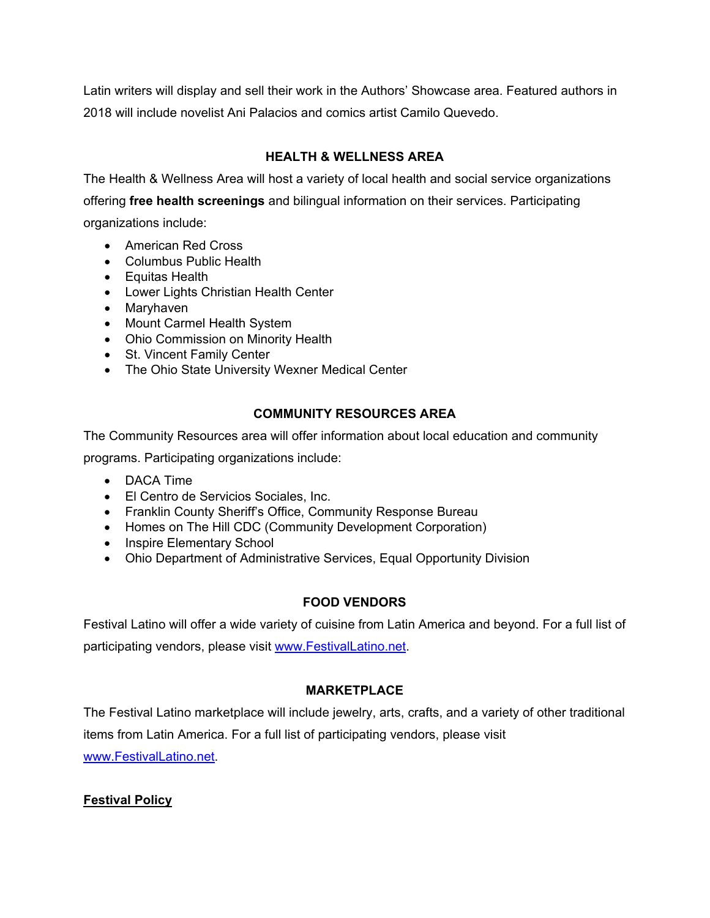Latin writers will display and sell their work in the Authors' Showcase area. Featured authors in 2018 will include novelist Ani Palacios and comics artist Camilo Quevedo.

# **HEALTH & WELLNESS AREA**

The Health & Wellness Area will host a variety of local health and social service organizations offering **free health screenings** and bilingual information on their services. Participating organizations include:

- American Red Cross
- Columbus Public Health
- Equitas Health
- Lower Lights Christian Health Center
- Maryhaven
- Mount Carmel Health System
- Ohio Commission on Minority Health
- St. Vincent Family Center
- The Ohio State University Wexner Medical Center

# **COMMUNITY RESOURCES AREA**

The Community Resources area will offer information about local education and community

programs. Participating organizations include:

- DACA Time
- El Centro de Servicios Sociales, Inc.
- Franklin County Sheriff's Office, Community Response Bureau
- Homes on The Hill CDC (Community Development Corporation)
- Inspire Elementary School
- Ohio Department of Administrative Services, Equal Opportunity Division

# **FOOD VENDORS**

Festival Latino will offer a wide variety of cuisine from Latin America and beyond. For a full list of participating vendors, please visit [www.FestivalLatino.net.](http://www.festivallatino.net/)

# **MARKETPLACE**

The Festival Latino marketplace will include jewelry, arts, crafts, and a variety of other traditional items from Latin America. For a full list of participating vendors, please visit [www.FestivalLatino.net.](http://www.festivallatino.net/)

# **Festival Policy**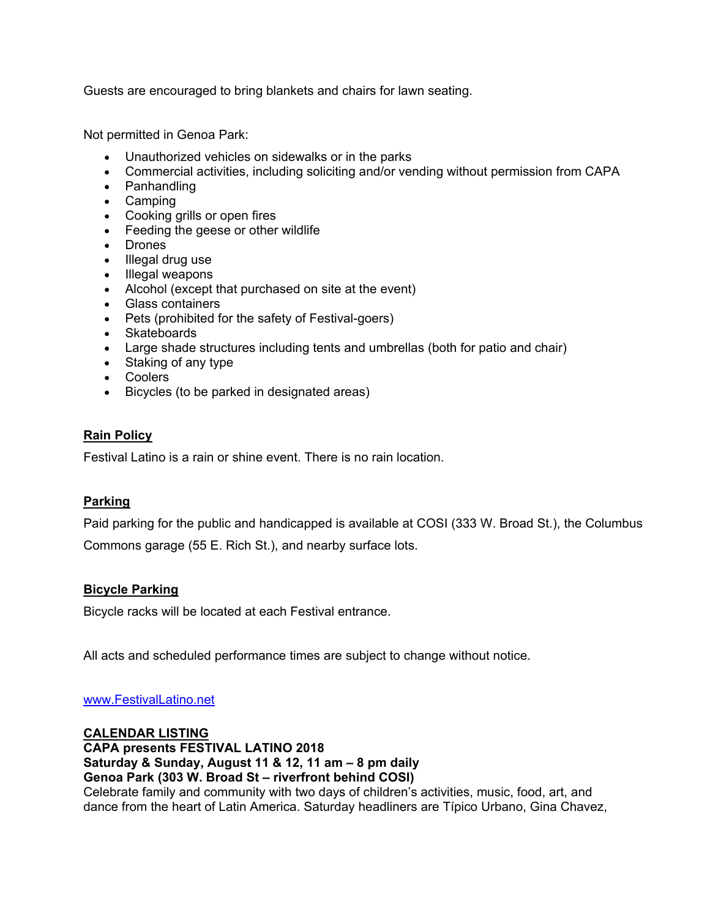Guests are encouraged to bring blankets and chairs for lawn seating.

Not permitted in Genoa Park:

- Unauthorized vehicles on sidewalks or in the parks
- Commercial activities, including soliciting and/or vending without permission from CAPA
- Panhandling
- Camping
- Cooking grills or open fires
- Feeding the geese or other wildlife
- Drones
- Illegal drug use
- Illegal weapons
- Alcohol (except that purchased on site at the event)
- Glass containers
- Pets (prohibited for the safety of Festival-goers)
- Skateboards
- Large shade structures including tents and umbrellas (both for patio and chair)
- Staking of any type
- Coolers
- Bicycles (to be parked in designated areas)

### **Rain Policy**

Festival Latino is a rain or shine event. There is no rain location.

## **Parking**

Paid parking for the public and handicapped is available at COSI (333 W. Broad St.), the Columbus Commons garage (55 E. Rich St.), and nearby surface lots.

## **Bicycle Parking**

Bicycle racks will be located at each Festival entrance.

All acts and scheduled performance times are subject to change without notice.

[www.FestivalLatino.net](http://www.festivallatino.net/) 

**CALENDAR LISTING CAPA presents FESTIVAL LATINO 2018 Saturday & Sunday, August 11 & 12, 11 am – 8 pm daily Genoa Park (303 W. Broad St – riverfront behind COSI)**  Celebrate family and community with two days of children's activities, music, food, art, and dance from the heart of Latin America. Saturday headliners are Típico Urbano, Gina Chavez,